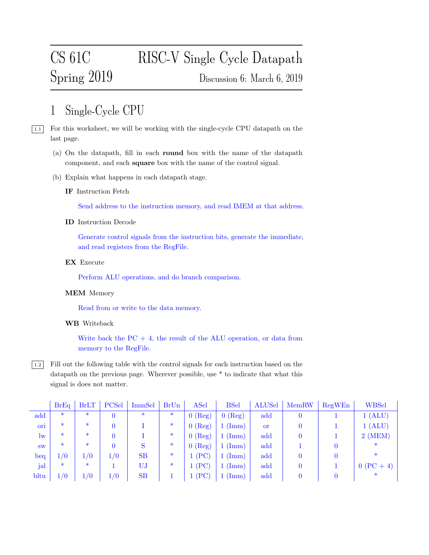# CS 61C RISC-V Single Cycle Datapath Spring 2019 Discussion 6: March 6, 2019

# 1 Single-Cycle CPU

 $\boxed{1.1}$  For this worksheet, we will be working with the single-cycle CPU datapath on the last page.

- (a) On the datapath, fill in each round box with the name of the datapath component, and each square box with the name of the control signal.
- (b) Explain what happens in each datapath stage.
	- IF Instruction Fetch

Send address to the instruction memory, and read IMEM at that address.

ID Instruction Decode

Generate control signals from the instruction bits, generate the immediate, and read registers from the RegFile.

EX Execute

Perform ALU operations, and do branch comparison.

## MEM Memory

Read from or write to the data memory.

### WB Writeback

Write back the  $PC + 4$ , the result of the ALU operation, or data from memory to the RegFile.

1.2 Fill out the following table with the control signals for each instruction based on the datapath on the previous page. Wherever possible, use \* to indicate that what this signal is does not matter.

|           | BrEq   | <b>BrLT</b> | PCSel | ImmSel | BrUn   | ASel      | <b>BSel</b>         | <b>ALUSel</b> | MemRW          | RegWEn | <b>WBSel</b> |
|-----------|--------|-------------|-------|--------|--------|-----------|---------------------|---------------|----------------|--------|--------------|
| add       | $\ast$ | $\ast$      |       | $\ast$ | $\ast$ | $0$ (Reg) | $0$ (Reg)           | add           | $\overline{0}$ |        | 1 (ALU)      |
| ori       | $\ast$ | $\ast$      |       |        | $\ast$ | $0$ (Reg) | $1 \, (\text{Imm})$ | <sub>or</sub> |                |        | 1 (ALU)      |
| $\ln$     | $\ast$ | $\ast$      |       |        | $\ast$ | $0$ (Reg) | (Imm)               | add           |                |        | $2$ (MEM)    |
| <b>SW</b> | $\ast$ | $\ast$      |       |        | $\ast$ | $0$ (Reg) | $1 \, (\text{Imm})$ | add           |                |        | $\ast$       |
| beq       | 1/0    | 1/0         | 1/0   | SB     | $\ast$ | 1(PC)     | $(\mathrm{Imm})$    | add           |                |        |              |
| jal       | $\ast$ | $\ast$      |       | UJ     | $\ast$ | 1(PC)     | $(\mathrm{Imm})$    | add           |                |        | $0 (PC + 4)$ |
| bltu      | 1/0    | 1/0         | 1/0   | SB     |        | $l$ (PC)  | $(\mathrm{Imm})$    | add           |                |        |              |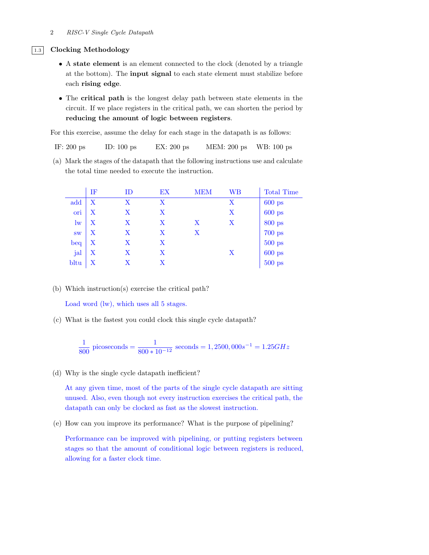#### 1.3 Clocking Methodology

- A state element is an element connected to the clock (denoted by a triangle at the bottom). The input signal to each state element must stabilize before each rising edge.
- The critical path is the longest delay path between state elements in the circuit. If we place registers in the critical path, we can shorten the period by reducing the amount of logic between registers.

For this exercise, assume the delay for each stage in the datapath is as follows:

IF: 200 ps ID: 100 ps EX: 200 ps MEM: 200 ps WB: 100 ps

(a) Mark the stages of the datapath that the following instructions use and calculate the total time needed to execute the instruction.

|              | IF      | ID      | EX | MEM | WВ | <b>Total Time</b> |
|--------------|---------|---------|----|-----|----|-------------------|
| add          | $\rm X$ | $\rm X$ | X  |     | х  | $600$ ps          |
| ori          | $\rm X$ | X       | Χ  |     | X  | $600$ ps          |
| $\mathbf{w}$ | $\rm X$ | X       | X  | X   | Х  | 800 ps            |
| <b>SW</b>    | X       | X       | X  | X   |    | $700$ ps          |
| beq          | X       | X       | X  |     |    | $500$ ps          |
| jal          | X       | Χ       | X  |     | Х  | $600$ ps          |
| bltu         | Х       | X       | X  |     |    | $500$ ps          |

(b) Which instruction(s) exercise the critical path?

Load word (lw), which uses all 5 stages.

(c) What is the fastest you could clock this single cycle datapath?

$$
\frac{1}{800} \text{ picoseconds} = \frac{1}{800 \times 10^{-12}} \text{ seconds} = 1,2500,000s^{-1} = 1.25GHz
$$

(d) Why is the single cycle datapath inefficient?

At any given time, most of the parts of the single cycle datapath are sitting unused. Also, even though not every instruction exercises the critical path, the datapath can only be clocked as fast as the slowest instruction.

(e) How can you improve its performance? What is the purpose of pipelining?

Performance can be improved with pipelining, or putting registers between stages so that the amount of conditional logic between registers is reduced, allowing for a faster clock time.